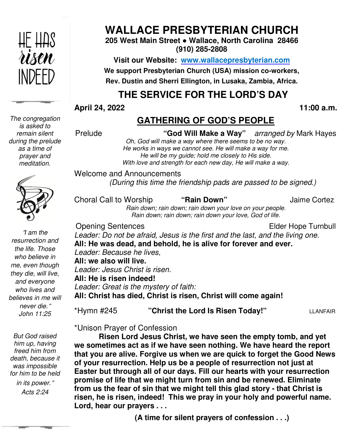

# **WALLACE PRESBYTERIAN CHURCH**

**205 West Main Street ● Wallace, North Carolina 28466 (910) 285-2808** 

**Visit our Website: www.wallacepresbyterian.com** We support Presbyterian Church (USA) mission co-workers, **Rev. Dustin and Sherri Ellington, in Lusaka, Zambia, Africa. Sherri Ellington,** 

# **THE SERVICE FOR THE LORD'S DAY** **THE SERVICE**

#### **April 24, 2022**

 **11:00 a.m.**

### **GATHERING OF GOD'S PEOPLE**

| <b>April 24, 2022</b><br>11:00 a.m.                                                                                                                                                                                                                                                                                                                                                                                                                                                                                                                                                                                                                                     |
|-------------------------------------------------------------------------------------------------------------------------------------------------------------------------------------------------------------------------------------------------------------------------------------------------------------------------------------------------------------------------------------------------------------------------------------------------------------------------------------------------------------------------------------------------------------------------------------------------------------------------------------------------------------------------|
| <b>GATHERING OF GOD'S PEOPLE</b>                                                                                                                                                                                                                                                                                                                                                                                                                                                                                                                                                                                                                                        |
| Prelude<br>"God Will Make a Way" arranged by Mark Hayes<br>Oh, God will make a way where there seems to be no way.<br>He works in ways we cannot see. He will make a way for me.<br>He will be my guide; hold me closely to His side.<br>With love and strength for each new day, He will make a way.                                                                                                                                                                                                                                                                                                                                                                   |
| <b>Welcome and Announcements</b><br>(During this time the friendship pads are passed to be signed.)                                                                                                                                                                                                                                                                                                                                                                                                                                                                                                                                                                     |
| Choral Call to Worship<br>"Rain Down"<br><b>Jaime Cortez</b><br>Rain down; rain down; rain down your love on your people.<br>Rain down; rain down; rain down your love, God of life.                                                                                                                                                                                                                                                                                                                                                                                                                                                                                    |
| <b>Opening Sentences</b><br>Elder Hope Turnbull<br>Leader: Do not be afraid, Jesus is the first and the last, and the living one.<br>All: He was dead, and behold, he is alive for forever and ever.<br>Leader: Because he lives,<br>All: we also will live.<br>Leader: Jesus Christ is risen.<br>All: He is risen indeed!<br>Leader: Great is the mystery of faith.<br>All: Christ has died, Christ is risen, Christ will come again!                                                                                                                                                                                                                                  |
| *Hymn #245<br>"Christ the Lord Is Risen Today!"<br><b>LLANFAIR</b>                                                                                                                                                                                                                                                                                                                                                                                                                                                                                                                                                                                                      |
| *Unison Prayer of Confession<br>Risen Lord Jesus Christ, we have seen the empty tomb, and yet<br>we sometimes act as if we have seen nothing. We have heard the report<br>that you are alive. Forgive us when we are quick to forget the Good News<br>of your resurrection. Help us be a people of resurrection not just at<br>Easter but through all of our days. Fill our hearts with your resurrection<br>promise of life that we might turn from sin and be renewed. Eliminate<br>from us the fear of sin that we might tell this glad story - that Christ is<br>risen, he is risen, indeed! This we pray in your holy and powerful name.<br>Lord, hear our prayers |
| (A time for silent prayers of confession)                                                                                                                                                                                                                                                                                                                                                                                                                                                                                                                                                                                                                               |

**(A time for silent prayers of confession . . .)**

*The congregation is asked to remain silent during the prelude as a time of prayer and meditation.* 



"*I am the resurrection and the life. Those who believe in me, even though they die, will live, and everyone who lives and believes in me will never die.*" *John 11:25* 

*But God raised him up, having freed him from death, because it was impossible for him to be held* 

 *in its power.*" *Acts 2:24*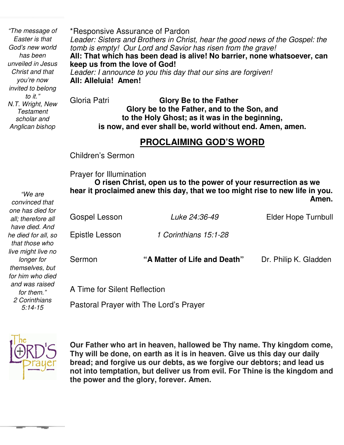*Anglican bishop invited to belong "The message of Easter is that God's new world has been unveiled in Jesus Christ and that you're now to it." N.T. Wright, New Testament scholar and* 

\*Responsive Assurance of Pardon *Leader: Sisters and Brothers in Christ, hear the good news of the Gospel: the tomb is empty! Our Lord and Savior has risen from the grave!* **All: That which has been dead is alive! No barrier, none whatsoever, can keep us from the love of God!** *Leader: I announce to you this day that our sins are forgiven!* **All: Alleluia! Amen!** Gloria Patri **Glory Be to the Father** 

**Glory be to the Father, and to the Son, and to the Holy Ghost; as it was in the beginning, is now, and ever shall be, world without end. Amen, amen.** 

# **PROCLAIMING GOD'S WORD**

Children's Sermon

**Prayer for Illumination**<br>**O risen Christ** 

 *convinced that*  **hear it proclaimed anew this day, that we too might rise to new life in you. O risen Christ, open us to the power of your resurrection as we**  *Amen.* **Amen.** Gospel Lesson *Luke 24:36-49* Elder Hope Turnbull Epistle Lesson *1 Corinthians 15:1-28* Sermon **"A Matter of Life and Death"** Dr. Philip K. Gladden A Time for Silent Reflection Pastoral Prayer with The Lord's Prayer *"We are one has died for all; therefore all have died. And he died for all, so that those who live might live no longer for themselves, but for him who died and was raised for them." 2 Corinthians 5:14-15* 



. **Our Father who art in heaven, hallowed be Thy name. Thy kingdom come, Thy will be done, on earth as it is in heaven. Give us this day our daily bread; and forgive us our debts, as we forgive our debtors; and lead us not into temptation, but deliver us from evil. For Thine is the kingdom and the power and the glory, forever. Amen.**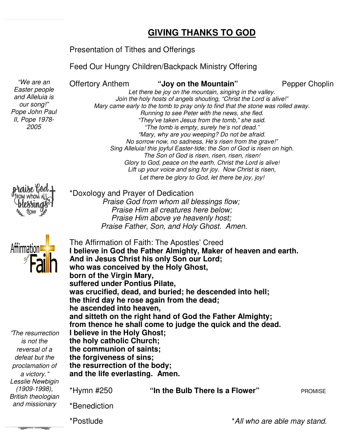#### **GIVING THANKS TO GOD**

#### Presentation of Tithes and Offerings

Feed Our Hungry Children/Backpack Ministry Offering<br><sup>7</sup> Offertory Anthem **31 and "Joy on the Mountain"** Pepper Chopli

Offertory Anthem

Pepper Choplin

*Let there be joy on the mountain, singing in the valley. Join the holy hosts of angels shouting, "Christ the Lord is alive!" Mary came early to the tomb to pray only to find that the stone was rolled away. Running to see Peter with the news, sh "They've taken Jesus from the tomb," she said. "The tomb is empty, surely he's not dead." "Mary, why are you weeping? Do not be afraid. No sorrow now, no sadness, He's risen from the grave!"* The y've taken Jesus from the tomb," she said.<br> *The tomb is empty, surely he's not dead."*<br> *Hary, why are you weeping? Do not be afraid.*<br>
No sorrow now, no sadness, He's risen from the grave!"<br>
Sing Alleluia! this joyfu *The Son of God is risen, risen, risen, risen! Glory to God, peace on the earth. Christ the Lord is alive!* Lift up your voice and sing for joy. Now Christ is risen, Let there be glory to God, let there be joy, joy! Let there be joy on the mountain, singing in the va.<br>Join the holy hosts of angels shouting, "Christ the Lord<br>Mary came early to the tomb to pray only to find that the stone<br>Running to see Peter with the news, she fled.



*"We are an Easter people and Alleluia is our song!" Pope John Paul II, Pope 1978- 2005* 

\*Doxology and Prayer of Dedication

The Affirmation of Faith: The Apostles' Creed

 *Praise God from whom all blessings flow; God from Praise Him all creatures here below; Praise Him above ye heavenly host; Praise Father, Son, and Holy Ghost. Amen.*

**Affirmation** 

"*The resurrection is not the reversal of a defeat but the proclamation of a victory.*" *Lesslie Newbigin (1909-1998), British theologian and missionary* 

**I believe in God the Father Almighty, Maker of heaven and earth. And in Jesus Christ his only Son our Lord; Christ Lord; who was conceived by the Holy Ghost, the Ghost, born of the Virgin Mary, suffered under Pontius Pilate, Pilate,**  was crucified, dead, and buried; he descended into hell; the third day he rose again from the dead; **he ascended into heaven, and sitteth on the right hand of God the Father Almighty; from thence he shall come to judge the quick and the dead. I believe in the Holy Ghost; the holy catholic Church; the communion of saints; saints; the forgiveness of sins; the resurrection of the body; of body; and the life everlasting. Amen.**  \*Hymn #250 **"In the Bulb** \*Benediction ascended into heaven,<br>**d sitteth on the right hand of God the Father**<br>m thence he shall come to judge the quick a<br>elieve in the Holy Ghost;<br>**holy catholic Church**; "In the Bulb There Is a Flower" **PROMISE** 

\*Postlude

\**All who are able may stand.*